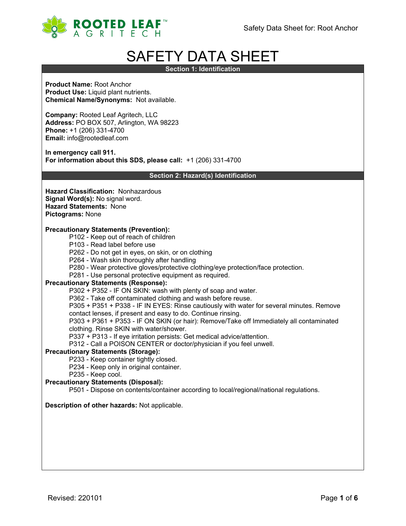

# SAFETY DATA SHEET

**Section 1: Identification**

**Product Name:** Root Anchor **Product Use:** Liquid plant nutrients. **Chemical Name/Synonyms:** Not available.

**Company:** Rooted Leaf Agritech, LLC **Address:** PO BOX 507, Arlington, WA 98223 **Phone:** +1 (206) 331-4700 **Email:** info@rootedleaf.com

**In emergency call 911. For information about this SDS, please call:** +1 (206) 331-4700

**Section 2: Hazard(s) Identification**

**Hazard Classification:** Nonhazardous **Signal Word(s):** No signal word. **Hazard Statements:** None **Pictograms:** None

## **Precautionary Statements (Prevention):**

- P102 Keep out of reach of children
- P103 Read label before use
- P262 Do not get in eyes, on skin, or on clothing
- P264 Wash skin thoroughly after handling
- P280 Wear protective gloves/protective clothing/eye protection/face protection.
- P281 Use personal protective equipment as required.

## **Precautionary Statements (Response):**

P302 + P352 - IF ON SKIN: wash with plenty of soap and water.

P362 - Take off contaminated clothing and wash before reuse.

P305 + P351 + P338 - IF IN EYES: Rinse cautiously with water for several minutes. Remove

contact lenses, if present and easy to do. Continue rinsing.

P303 + P361 + P353 - IF ON SKIN (or hair): Remove/Take off Immediately all contaminated clothing. Rinse SKIN with water/shower.

P337 + P313 - If eye irritation persists: Get medical advice/attention.

P312 - Call a POISON CENTER or doctor/physician if you feel unwell.

## **Precautionary Statements (Storage):**

P233 - Keep container tightly closed.

- P234 Keep only in original container.
- P235 Keep cool.

## **Precautionary Statements (Disposal):**

P501 - Dispose on contents/container according to local/regional/national regulations.

## **Description of other hazards:** Not applicable.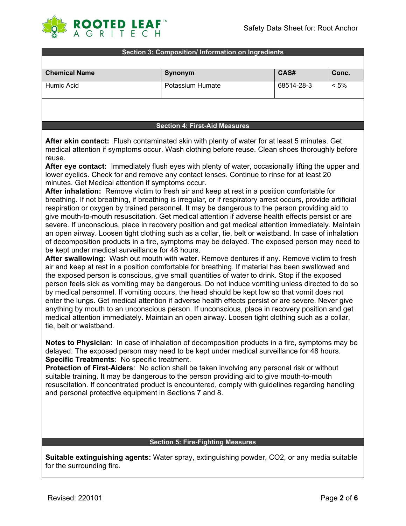

#### **Section 3: Composition/ Information on Ingredients**

| <b>Chemical Name</b> | Synonym          | CAS#       | Conc.   |
|----------------------|------------------|------------|---------|
| Humic Acid           | Potassium Humate | 68514-28-3 | $< 5\%$ |
|                      |                  |            |         |

## **Section 4: First-Aid Measures**

**After skin contact:** Flush contaminated skin with plenty of water for at least 5 minutes. Get medical attention if symptoms occur. Wash clothing before reuse. Clean shoes thoroughly before reuse.

**After eye contact:** Immediately flush eyes with plenty of water, occasionally lifting the upper and lower eyelids. Check for and remove any contact lenses. Continue to rinse for at least 20 minutes. Get Medical attention if symptoms occur.

**After inhalation:** Remove victim to fresh air and keep at rest in a position comfortable for breathing. If not breathing, if breathing is irregular, or if respiratory arrest occurs, provide artificial respiration or oxygen by trained personnel. It may be dangerous to the person providing aid to give mouth-to-mouth resuscitation. Get medical attention if adverse health effects persist or are severe. If unconscious, place in recovery position and get medical attention immediately. Maintain an open airway. Loosen tight clothing such as a collar, tie, belt or waistband. In case of inhalation of decomposition products in a fire, symptoms may be delayed. The exposed person may need to be kept under medical surveillance for 48 hours.

**After swallowing**: Wash out mouth with water. Remove dentures if any. Remove victim to fresh air and keep at rest in a position comfortable for breathing. If material has been swallowed and the exposed person is conscious, give small quantities of water to drink. Stop if the exposed person feels sick as vomiting may be dangerous. Do not induce vomiting unless directed to do so by medical personnel. If vomiting occurs, the head should be kept low so that vomit does not enter the lungs. Get medical attention if adverse health effects persist or are severe. Never give anything by mouth to an unconscious person. If unconscious, place in recovery position and get medical attention immediately. Maintain an open airway. Loosen tight clothing such as a collar, tie, belt or waistband.

**Notes to Physician**: In case of inhalation of decomposition products in a fire, symptoms may be delayed. The exposed person may need to be kept under medical surveillance for 48 hours. **Specific Treatments**: No specific treatment.

**Protection of First-Aiders**: No action shall be taken involving any personal risk or without suitable training. It may be dangerous to the person providing aid to give mouth-to-mouth resuscitation. If concentrated product is encountered, comply with guidelines regarding handling and personal protective equipment in Sections 7 and 8.

#### **Section 5: Fire-Fighting Measures**

**Suitable extinguishing agents:** Water spray, extinguishing powder, CO2, or any media suitable for the surrounding fire.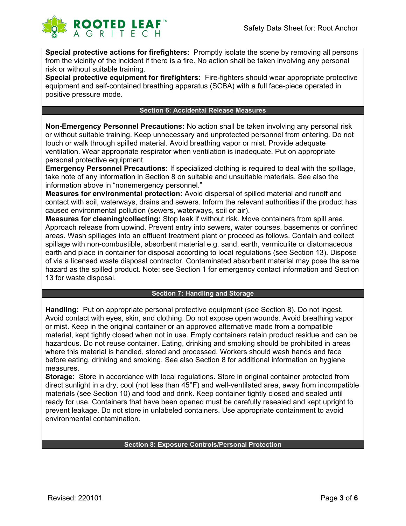

**Special protective actions for firefighters:** Promptly isolate the scene by removing all persons from the vicinity of the incident if there is a fire. No action shall be taken involving any personal risk or without suitable training.

**Special protective equipment for firefighters:** Fire-fighters should wear appropriate protective equipment and self-contained breathing apparatus (SCBA) with a full face-piece operated in positive pressure mode.

## **Section 6: Accidental Release Measures**

**Non-Emergency Personnel Precautions:** No action shall be taken involving any personal risk or without suitable training. Keep unnecessary and unprotected personnel from entering. Do not touch or walk through spilled material. Avoid breathing vapor or mist. Provide adequate ventilation. Wear appropriate respirator when ventilation is inadequate. Put on appropriate personal protective equipment.

**Emergency Personnel Precautions:** If specialized clothing is required to deal with the spillage, take note of any information in Section 8 on suitable and unsuitable materials. See also the information above in "nonemergency personnel."

**Measures for environmental protection:** Avoid dispersal of spilled material and runoff and contact with soil, waterways, drains and sewers. Inform the relevant authorities if the product has caused environmental pollution (sewers, waterways, soil or air).

**Measures for cleaning/collecting:** Stop leak if without risk. Move containers from spill area. Approach release from upwind. Prevent entry into sewers, water courses, basements or confined areas. Wash spillages into an effluent treatment plant or proceed as follows. Contain and collect spillage with non-combustible, absorbent material e.g. sand, earth, vermiculite or diatomaceous earth and place in container for disposal according to local regulations (see Section 13). Dispose of via a licensed waste disposal contractor. Contaminated absorbent material may pose the same hazard as the spilled product. Note: see Section 1 for emergency contact information and Section 13 for waste disposal.

## **Section 7: Handling and Storage**

**Handling:** Put on appropriate personal protective equipment (see Section 8). Do not ingest. Avoid contact with eyes, skin, and clothing. Do not expose open wounds. Avoid breathing vapor or mist. Keep in the original container or an approved alternative made from a compatible material, kept tightly closed when not in use. Empty containers retain product residue and can be hazardous. Do not reuse container. Eating, drinking and smoking should be prohibited in areas where this material is handled, stored and processed. Workers should wash hands and face before eating, drinking and smoking. See also Section 8 for additional information on hygiene measures.

**Storage:** Store in accordance with local regulations. Store in original container protected from direct sunlight in a dry, cool (not less than 45°F) and well-ventilated area, away from incompatible materials (see Section 10) and food and drink. Keep container tightly closed and sealed until ready for use. Containers that have been opened must be carefully resealed and kept upright to prevent leakage. Do not store in unlabeled containers. Use appropriate containment to avoid environmental contamination.

## **Section 8: Exposure Controls/Personal Protection**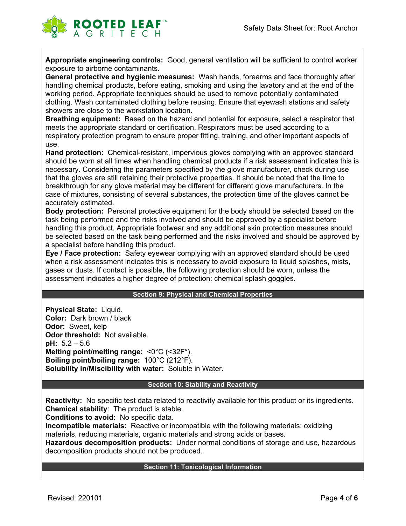

**Appropriate engineering controls:** Good, general ventilation will be sufficient to control worker exposure to airborne contaminants.

**General protective and hygienic measures:** Wash hands, forearms and face thoroughly after handling chemical products, before eating, smoking and using the lavatory and at the end of the working period. Appropriate techniques should be used to remove potentially contaminated clothing. Wash contaminated clothing before reusing. Ensure that eyewash stations and safety showers are close to the workstation location.

**Breathing equipment:** Based on the hazard and potential for exposure, select a respirator that meets the appropriate standard or certification. Respirators must be used according to a respiratory protection program to ensure proper fitting, training, and other important aspects of use.

**Hand protection:** Chemical-resistant, impervious gloves complying with an approved standard should be worn at all times when handling chemical products if a risk assessment indicates this is necessary. Considering the parameters specified by the glove manufacturer, check during use that the gloves are still retaining their protective properties. It should be noted that the time to breakthrough for any glove material may be different for different glove manufacturers. In the case of mixtures, consisting of several substances, the protection time of the gloves cannot be accurately estimated.

**Body protection:** Personal protective equipment for the body should be selected based on the task being performed and the risks involved and should be approved by a specialist before handling this product. Appropriate footwear and any additional skin protection measures should be selected based on the task being performed and the risks involved and should be approved by a specialist before handling this product.

**Eye / Face protection:** Safety eyewear complying with an approved standard should be used when a risk assessment indicates this is necessary to avoid exposure to liquid splashes, mists, gases or dusts. If contact is possible, the following protection should be worn, unless the assessment indicates a higher degree of protection: chemical splash goggles.

## **Section 9: Physical and Chemical Properties**

**Physical State:** Liquid. **Color:** Dark brown / black **Odor:** Sweet, kelp **Odor threshold:** Not available. **pH:** 5.2 – 5.6 **Melting point/melting range:** <0°C (<32F°). **Boiling point/boiling range:** 100°C (212°F). **Solubility in/Miscibility with water:** Soluble in Water.

## **Section 10: Stability and Reactivity**

**Reactivity:** No specific test data related to reactivity available for this product or its ingredients. **Chemical stability**: The product is stable.

**Conditions to avoid:** No specific data.

**Incompatible materials:** Reactive or incompatible with the following materials: oxidizing materials, reducing materials, organic materials and strong acids or bases.

**Hazardous decomposition products:** Under normal conditions of storage and use, hazardous decomposition products should not be produced.

## **Section 11: Toxicological Information**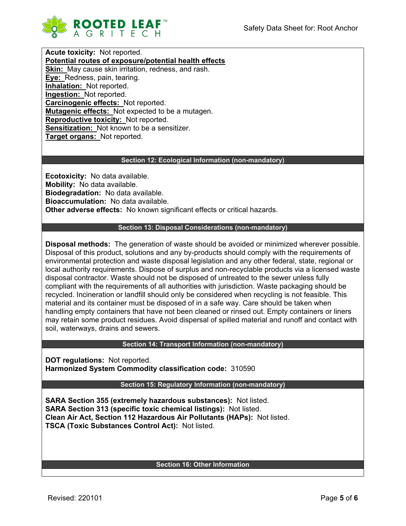

**Acute toxicity:** Not reported. **Potential routes of exposure/potential health effects Skin:** May cause skin irritation, redness, and rash. **Eye:** Redness, pain, tearing. **Inhalation:** Not reported. **Ingestion:** Not reported. **Carcinogenic effects:** Not reported. **Mutagenic effects:** Not expected to be a mutagen. **Reproductive toxicity:** Not reported. **Sensitization:** Not known to be a sensitizer. **Target organs:** Not reported.

## **Section 12: Ecological Information (non-mandatory)**

**Ecotoxicity:** No data available. **Mobility:** No data available. **Biodegradation:** No data available. **Bioaccumulation:** No data available. **Other adverse effects:** No known significant effects or critical hazards.

## **Section 13: Disposal Considerations (non-mandatory)**

**Disposal methods:** The generation of waste should be avoided or minimized wherever possible. Disposal of this product, solutions and any by-products should comply with the requirements of environmental protection and waste disposal legislation and any other federal, state, regional or local authority requirements. Dispose of surplus and non-recyclable products via a licensed waste disposal contractor. Waste should not be disposed of untreated to the sewer unless fully compliant with the requirements of all authorities with jurisdiction. Waste packaging should be recycled. Incineration or landfill should only be considered when recycling is not feasible. This material and its container must be disposed of in a safe way. Care should be taken when handling empty containers that have not been cleaned or rinsed out. Empty containers or liners may retain some product residues. Avoid dispersal of spilled material and runoff and contact with soil, waterways, drains and sewers.

## **Section 14: Transport Information (non-mandatory)**

**DOT regulations:** Not reported. **Harmonized System Commodity classification code:** 310590

**Section 15: Regulatory Information (non-mandatory)**

**SARA Section 355 (extremely hazardous substances):** Not listed. **SARA Section 313 (specific toxic chemical listings):** Not listed. **Clean Air Act, Section 112 Hazardous Air Pollutants (HAPs):** Not listed. **TSCA (Toxic Substances Control Act):** Not listed.

## **Section 16: Other Information**